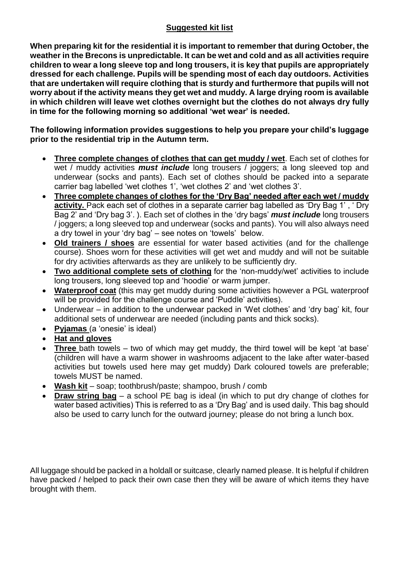## **Suggested kit list**

**When preparing kit for the residential it is important to remember that during October, the weather in the Brecons is unpredictable. It can be wet and cold and as all activities require children to wear a long sleeve top and long trousers, it is key that pupils are appropriately dressed for each challenge. Pupils will be spending most of each day outdoors. Activities that are undertaken will require clothing that is sturdy and furthermore that pupils will not worry about if the activity means they get wet and muddy. A large drying room is available in which children will leave wet clothes overnight but the clothes do not always dry fully in time for the following morning so additional 'wet wear' is needed.**

**The following information provides suggestions to help you prepare your child's luggage prior to the residential trip in the Autumn term.**

- **Three complete changes of clothes that can get muddy / wet**. Each set of clothes for wet / muddy activities *must include* long trousers / joggers; a long sleeved top and underwear (socks and pants). Each set of clothes should be packed into a separate carrier bag labelled 'wet clothes 1', 'wet clothes 2' and 'wet clothes 3'.
- **Three complete changes of clothes for the 'Dry Bag' needed after each wet / muddy activity.** Pack each set of clothes in a separate carrier bag labelled as 'Dry Bag 1', 'Dry Bag 2' and 'Dry bag 3'. ). Each set of clothes in the 'dry bags' *must include* long trousers / joggers; a long sleeved top and underwear (socks and pants). You will also always need a dry towel in your 'dry bag' – see notes on 'towels' below.
- **Old trainers / shoes** are essential for water based activities (and for the challenge course). Shoes worn for these activities will get wet and muddy and will not be suitable for dry activities afterwards as they are unlikely to be sufficiently dry.
- **Two additional complete sets of clothing** for the 'non-muddy/wet' activities to include long trousers, long sleeved top and 'hoodie' or warm jumper.
- **Waterproof coat** (this may get muddy during some activities however a PGL waterproof will be provided for the challenge course and 'Puddle' activities).
- Underwear in addition to the underwear packed in 'Wet clothes' and 'dry bag' kit, four additional sets of underwear are needed (including pants and thick socks).
- **Pyjamas** (a 'onesie' is ideal)
- **Hat and gloves**
- **Three** bath towels two of which may get muddy, the third towel will be kept 'at base' (children will have a warm shower in washrooms adjacent to the lake after water-based activities but towels used here may get muddy) Dark coloured towels are preferable; towels MUST be named.
- **Wash kit** soap; toothbrush/paste; shampoo, brush / comb
- **Draw string bag** a school PE bag is ideal (in which to put dry change of clothes for water based activities) This is referred to as a 'Dry Bag' and is used daily. This bag should also be used to carry lunch for the outward journey; please do not bring a lunch box.

All luggage should be packed in a holdall or suitcase, clearly named please. It is helpful if children have packed / helped to pack their own case then they will be aware of which items they have brought with them.